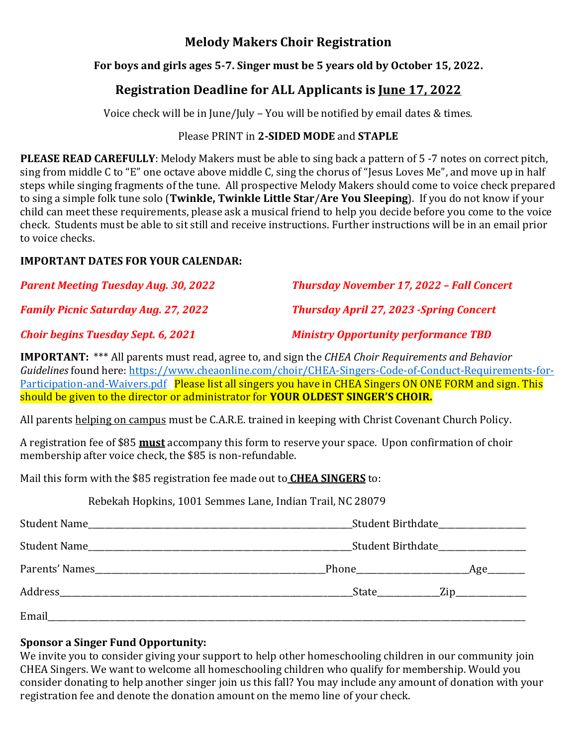## **Melody Makers Choir Registration**

#### **For boys and girls ages 5-7. Singer must be 5 years old by October 15, 2022.**

# **Registration Deadline for ALL Applicants is June 17, 2022**

Voice check will be in June/July – You will be notified by email dates & times.

#### Please PRINT in **2-SIDED MODE** and **STAPLE**

**PLEASE READ CAREFULLY**: Melody Makers must be able to sing back a pattern of 5 -7 notes on correct pitch, sing from middle C to "E" one octave above middle C, sing the chorus of "Jesus Loves Me", and move up in half steps while singing fragments of the tune. All prospective Melody Makers should come to voice check prepared to sing a simple folk tune solo (**Twinkle, Twinkle Little Star**/**Are You Sleeping**). If you do not know if your child can meet these requirements, please ask a musical friend to help you decide before you come to the voice check. Students must be able to sit still and receive instructions. Further instructions will be in an email prior to voice checks.

#### **IMPORTANT DATES FOR YOUR CALENDAR:**

| <b>Parent Meeting Tuesday Aug. 30, 2022</b> | <b>Thursday November 17, 2022 - Fall Concert</b> |  |
|---------------------------------------------|--------------------------------------------------|--|
| <b>Family Picnic Saturday Aug. 27, 2022</b> | <b>Thursday April 27, 2023 -Spring Concert</b>   |  |
| <b>Choir begins Tuesday Sept. 6, 2021</b>   | <b>Ministry Opportunity performance TBD</b>      |  |

**IMPORTANT:** \*\*\* All parents must read, agree to, and sign the *CHEA Choir Requirements and Behavior Guidelines* found here: [https://www.cheaonline.com/choir/CHEA-Singers-Code-of-Conduct-Requirements-for-](https://www.cheaonline.com/choir/CHEA-Singers-Code-of-Conduct-Requirements-for-Participation-and-Waivers.pdf)[Participation-and-Waivers.pdf](https://www.cheaonline.com/choir/CHEA-Singers-Code-of-Conduct-Requirements-for-Participation-and-Waivers.pdf) Please list all singers you have in CHEA Singers ON ONE FORM and sign. This should be given to the director or administrator for **YOUR OLDEST SINGER'S CHOIR.**

All parents helping on campus must be C.A.R.E. trained in keeping with Christ Covenant Church Policy.

A registration fee of \$85 **must** accompany this form to reserve your space. Upon confirmation of choir membership after voice check, the \$85 is non-refundable.

Mail this form with the \$85 registration fee made out to **CHEA SINGERS** to:

Rebekah Hopkins, 1001 Semmes Lane, Indian Trail, NC 28079

|                | Student Birthdate_________________ |                  |
|----------------|------------------------------------|------------------|
|                | Student Birthdate_________________ |                  |
| Parents' Names |                                    |                  |
|                |                                    | State <u>Zip</u> |
| Email          |                                    |                  |

### **Sponsor a Singer Fund Opportunity:**

We invite you to consider giving your support to help other homeschooling children in our community join CHEA Singers. We want to welcome all homeschooling children who qualify for membership. Would you consider donating to help another singer join us this fall? You may include any amount of donation with your registration fee and denote the donation amount on the memo line of your check.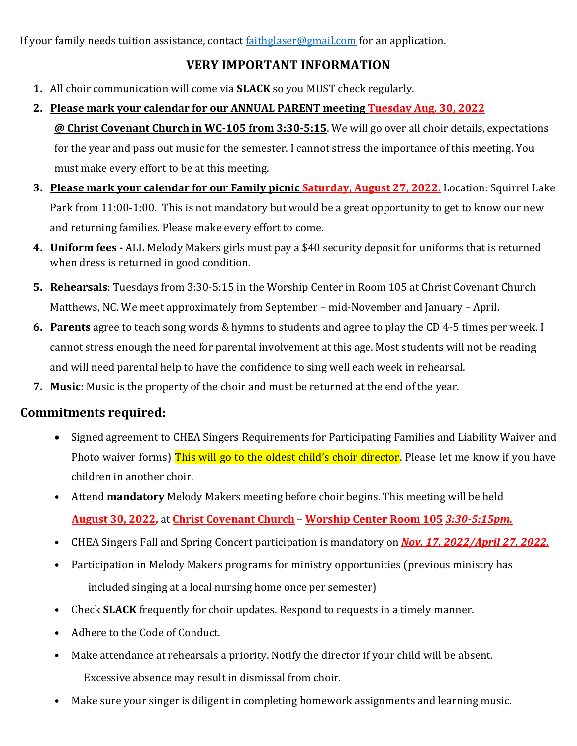If your family needs tuition assistance, contact [faithglaser@gmail.com](mailto:faithglaser@gmail.com) for an application.

## **VERY IMPORTANT INFORMATION**

- **1.** All choir communication will come via **SLACK** so you MUST check regularly.
- **2. Please mark your calendar for our ANNUAL PARENT meeting Tuesday Aug. 30, 2022 @ Christ Covenant Church in WC-105 from 3:30-5:15**. We will go over all choir details, expectations for the year and pass out music for the semester. I cannot stress the importance of this meeting. You must make every effort to be at this meeting.
- **3. Please mark your calendar for our Family picnic Saturday, August 27, 2022.** Location: Squirrel Lake Park from 11:00-1:00. This is not mandatory but would be a great opportunity to get to know our new and returning families. Please make every effort to come.
- **4. Uniform fees -** ALL Melody Makers girls must pay a \$40 security deposit for uniforms that is returned when dress is returned in good condition.
- **5. Rehearsals**: Tuesdays from 3:30-5:15 in the Worship Center in Room 105 at Christ Covenant Church Matthews, NC. We meet approximately from September – mid-November and January – April.
- **6. Parents** agree to teach song words & hymns to students and agree to play the CD 4-5 times per week. I cannot stress enough the need for parental involvement at this age. Most students will not be reading and will need parental help to have the confidence to sing well each week in rehearsal.
- **7. Music**: Music is the property of the choir and must be returned at the end of the year.

# **Commitments required:**

- Signed agreement to CHEA Singers Requirements for Participating Families and Liability Waiver and Photo waiver forms) This will go to the oldest child's choir director. Please let me know if you have children in another choir.
- Attend **mandatory** Melody Makers meeting before choir begins. This meeting will be held  **August 30, 2022,** at **Christ Covenant Church** – **Worship Center Room 105** *3:30-5:15pm.*
- CHEA Singers Fall and Spring Concert participation is mandatory on *Nov. 17, 2022/April 27, 2022.*
- Participation in Melody Makers programs for ministry opportunities (previous ministry has included singing at a local nursing home once per semester)
- Check **SLACK** frequently for choir updates. Respond to requests in a timely manner.
- Adhere to the Code of Conduct.
- Make attendance at rehearsals a priority. Notify the director if your child will be absent. Excessive absence may result in dismissal from choir.
- Make sure your singer is diligent in completing homework assignments and learning music.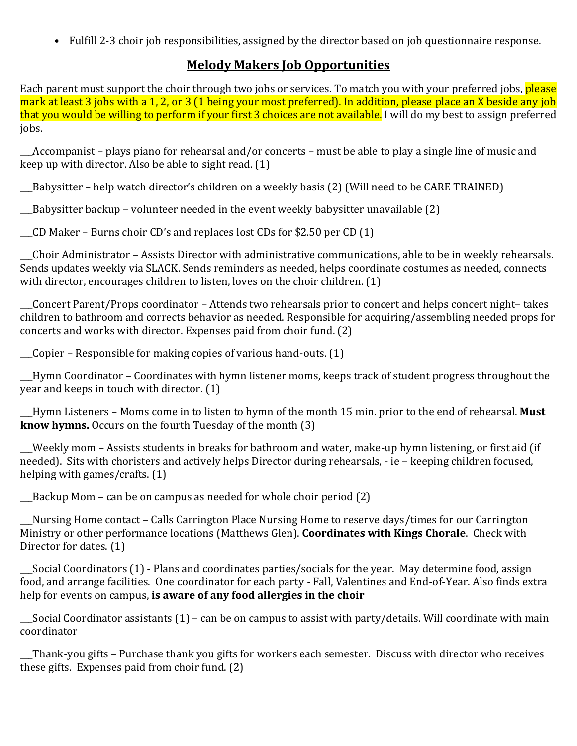• Fulfill 2-3 choir job responsibilities, assigned by the director based on job questionnaire response.

### **Melody Makers Job Opportunities**

Each parent must support the choir through two jobs or services. To match you with your preferred jobs, please mark at least 3 jobs with a 1, 2, or 3 (1 being your most preferred). In addition, please place an X beside any job that you would be willing to perform if your first 3 choices are not available. I will do my best to assign preferred jobs.

\_\_\_Accompanist – plays piano for rehearsal and/or concerts – must be able to play a single line of music and keep up with director. Also be able to sight read. (1)

\_\_\_Babysitter – help watch director's children on a weekly basis (2) (Will need to be CARE TRAINED)

\_\_\_Babysitter backup – volunteer needed in the event weekly babysitter unavailable (2)

\_\_\_CD Maker – Burns choir CD's and replaces lost CDs for \$2.50 per CD (1)

\_\_\_Choir Administrator – Assists Director with administrative communications, able to be in weekly rehearsals. Sends updates weekly via SLACK. Sends reminders as needed, helps coordinate costumes as needed, connects with director, encourages children to listen, loves on the choir children. (1)

\_\_\_Concert Parent/Props coordinator – Attends two rehearsals prior to concert and helps concert night– takes children to bathroom and corrects behavior as needed. Responsible for acquiring/assembling needed props for concerts and works with director. Expenses paid from choir fund. (2)

\_\_\_Copier – Responsible for making copies of various hand-outs. (1)

\_\_\_Hymn Coordinator – Coordinates with hymn listener moms, keeps track of student progress throughout the  $\overline{y}$  year and keeps in touch with director. (1)

\_\_\_Hymn Listeners – Moms come in to listen to hymn of the month 15 min. prior to the end of rehearsal. **Must know hymns.** Occurs on the fourth Tuesday of the month (3)

\_\_\_Weekly mom – Assists students in breaks for bathroom and water, make-up hymn listening, or first aid (if needed). Sits with choristers and actively helps Director during rehearsals, - ie – keeping children focused, helping with games/crafts. (1)

\_\_\_Backup Mom – can be on campus as needed for whole choir period (2)

\_\_\_Nursing Home contact – Calls Carrington Place Nursing Home to reserve days/times for our Carrington Ministry or other performance locations (Matthews Glen). **Coordinates with Kings Chorale**. Check with Director for dates. (1)

\_\_\_Social Coordinators (1) - Plans and coordinates parties/socials for the year. May determine food, assign food, and arrange facilities. One coordinator for each party - Fall, Valentines and End-of-Year. Also finds extra help for events on campus, **is aware of any food allergies in the choir**

Social Coordinator assistants  $(1)$  – can be on campus to assist with party/details. Will coordinate with main coordinator

\_\_\_Thank-you gifts – Purchase thank you gifts for workers each semester. Discuss with director who receives these gifts. Expenses paid from choir fund. (2)